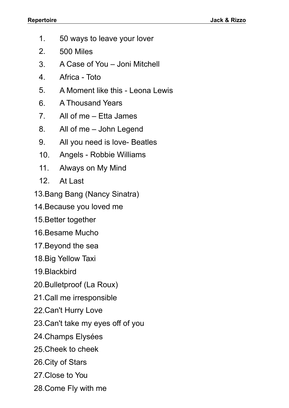- 1. 50 ways to leave your lover
- 2. 500 Miles
- 3. A Case of You Joni Mitchell
- 4. Africa Toto
- 5. A Moment like this Leona Lewis
- 6. A Thousand Years
- 7. All of me Etta James
- 8. All of me John Legend
- 9. All you need is love- Beatles
- 10. Angels Robbie Williams
- 11. Always on My Mind
- 12. At Last
- 13.Bang Bang (Nancy Sinatra)
- 14.Because you loved me
- 15.Better together
- 16.Besame Mucho
- 17.Beyond the sea
- 18.Big Yellow Taxi
- 19.Blackbird
- 20.Bulletproof (La Roux)
- 21.Call me irresponsible
- 22.Can't Hurry Love
- 23.Can't take my eyes off of you
- 24.Champs Elysées
- 25.Cheek to cheek
- 26.City of Stars
- 27.Close to You
- 28.Come Fly with me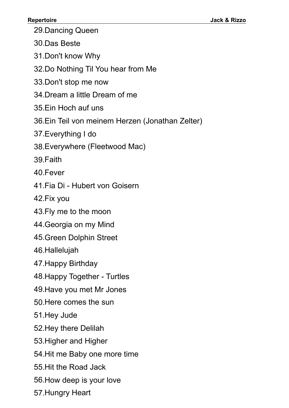29.Dancing Queen

30.Das Beste

31.Don't know Why

32.Do Nothing Til You hear from Me

33.Don't stop me now

34.Dream a little Dream of me

35.Ein Hoch auf uns

36.Ein Teil von meinem Herzen (Jonathan Zelter)

37.Everything I do

38.Everywhere (Fleetwood Mac)

39.Faith

40.Fever

41.Fia Di - Hubert von Goisern

42.Fix you

43.Fly me to the moon

44.Georgia on my Mind

45.Green Dolphin Street

46.Hallelujah

47.Happy Birthday

48.Happy Together - Turtles

49.Have you met Mr Jones

50.Here comes the sun

51.Hey Jude

52.Hey there Delilah

53.Higher and Higher

54.Hit me Baby one more time

55.Hit the Road Jack

56.How deep is your love

57.Hungry Heart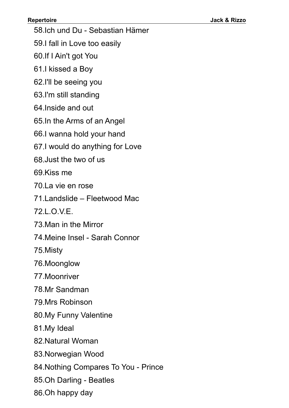58.Ich und Du - Sebastian Hämer

59.I fall in Love too easily

60.If I Ain't got You

61.I kissed a Boy

62.I'll be seeing you

63.I'm still standing

64.Inside and out

65.In the Arms of an Angel

66.I wanna hold your hand

67.I would do anything for Love

68.Just the two of us

69.Kiss me

70.La vie en rose

71.Landslide – Fleetwood Mac

72.L.O.V.E.

73.Man in the Mirror

74.Meine Insel - Sarah Connor

75.Misty

76.Moonglow

77.Moonriver

78.Mr Sandman

79.Mrs Robinson

80.My Funny Valentine

81.My Ideal

82.Natural Woman

83.Norwegian Wood

84.Nothing Compares To You - Prince

85.Oh Darling - Beatles

86.Oh happy day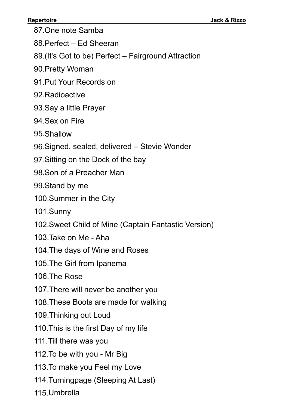87.One note Samba

88.Perfect – Ed Sheeran

89.(It's Got to be) Perfect – Fairground Attraction

90.Pretty Woman

91.Put Your Records on

92.Radioactive

- 93.Say a little Prayer
- 94.Sex on Fire

95.Shallow

- 96.Signed, sealed, delivered Stevie Wonder
- 97.Sitting on the Dock of the bay
- 98.Son of a Preacher Man

99.Stand by me

100.Summer in the City

101.Sunny

- 102.Sweet Child of Mine (Captain Fantastic Version)
- 103.Take on Me Aha
- 104.The days of Wine and Roses
- 105.The Girl from Ipanema

106.The Rose

- 107.There will never be another you
- 108.These Boots are made for walking

109.Thinking out Loud

110.This is the first Day of my life

111.Till there was you

112.To be with you - Mr Big

- 113.To make you Feel my Love
- 114.Turningpage (Sleeping At Last)

115.Umbrella